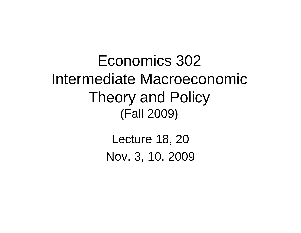Economics 302 Intermediate Macroeconomic Theory and Policy (Fall 2009)

> Lecture 18, 20 Nov. 3, 10, 2009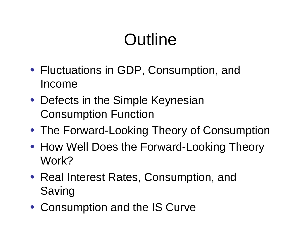# **Outline**

- Fluctuations in GDP, Consumption, and Income
- Defects in the Simple Keynesian Consumption Function
- The Forward-Looking Theory of Consumption
- How Well Does the Forward-Looking Theory Work?
- Real Interest Rates, Consumption, and Saving
- Consumption and the IS Curve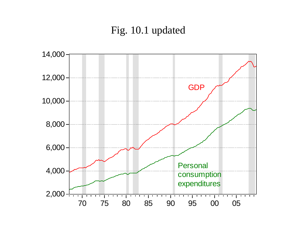#### Fig. 10.1 updated

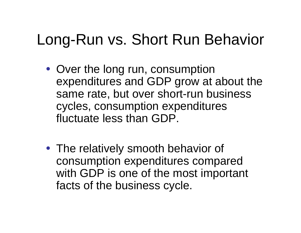## Long-Run vs. Short Run Behavior

- Over the long run, consumption expenditures and GDP grow at about the same rate, but over short-run business cycles, consumption expenditures fluctuate less than GDP.
- The relatively smooth behavior of consumption expenditures compared with GDP is one of the most important facts of the business cycle.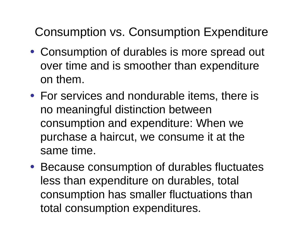### Consumption vs. Consumption Expenditure

- Consumption of durables is more spread out over time and is smoother than expenditure on them.
- For services and nondurable items, there is no meaningful distinction between consumption and expenditure: When we purchase a haircut, we consume it at the same time.
- Because consumption of durables fluctuates less than expenditure on durables, total consumption has smaller fluctuations than total consumption expenditures.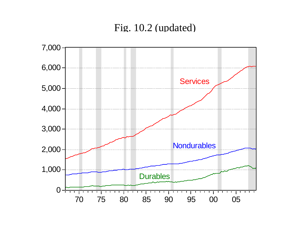#### Fig. 10.2 (updated)

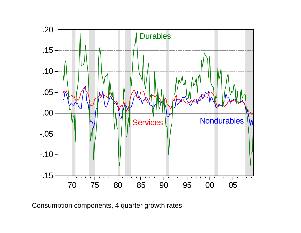

Consumption components, 4 quarter growth rates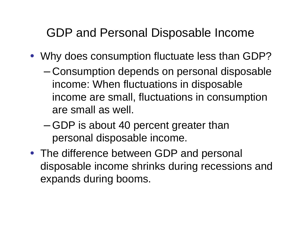#### GDP and Personal Disposable Income

- Why does consumption fluctuate less than GDP?
	- – Consumption depends on personal disposable income: When fluctuations in disposable income are small, fluctuations in consumption are small as well.
	- – GDP is about 40 percent greater than personal disposable income.
- The difference between GDP and personal disposable income shrinks during recessions and expands during booms.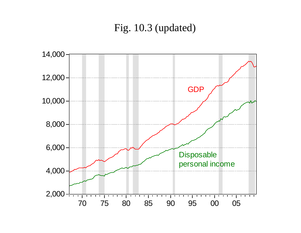#### Fig. 10.3 (updated)

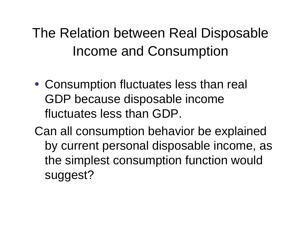## The Relation between Real Disposable Income and Consumption

• Consumption fluctuates less than real GDP because disposable income fluctuates less than GDP.

Can all consumption behavior be explained by current personal disposable income, as the simplest consumption function would suggest?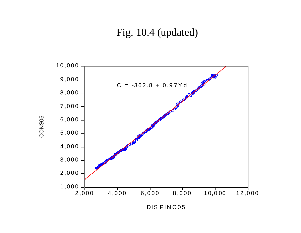Fig. 10.4 (updated)



CONS05 CONS05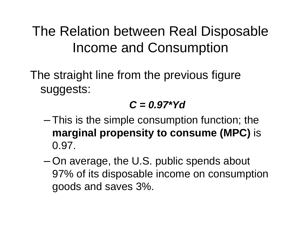### The Relation between Real Disposable Income and Consumption

The straight line from the previous figure suggests:

#### *C = 0.97\*Yd*

- – $-$  This is the simple consumption function; the  $\,$ **marginal propensity to consume (MPC)** is 0.97.
- – On average, the U.S. public spends about 97% of its disposable income on consumption goods and saves 3%.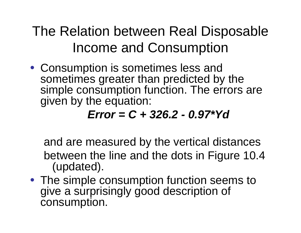The Relation between Real Disposable Income and Consumption

• Consumption is sometimes less and sometimes greater than predicted by the simple consumption function. The errors are given by the equation:

#### *Error = C + 326.2 - 0.97\*Yd*

and are measured by the vertical distances between the line and the dots in Figure 10.4 (updated).

• The simple consumption function seems to give a surprisingly good description of consumption.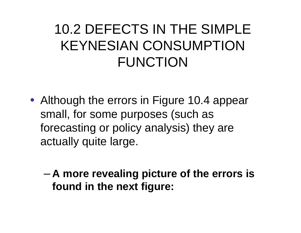## 10.2 DEFECTS IN THE SIMPLE KEYNESIAN CONSUMPTION FUNCTION

- Although the errors in Figure 10.4 appear small, for some purposes (such as forecasting or policy analysis) they are actually quite large.
	- – **A more revealing picture of the errors is found in the next figure:**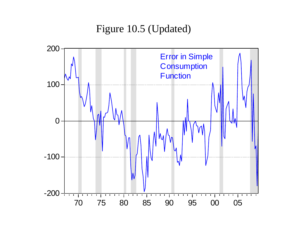Figure 10.5 (Updated)

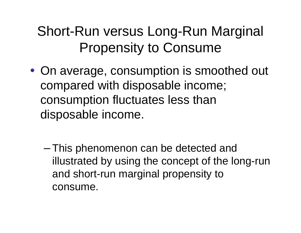## Short-Run versus Long-Run Marginal Propensity to Consume

- On average, consumption is smoothed out compared with disposable income; consumption fluctuates less than disposable income.
	- – This phenomenon can be detected and illustrated by using the concept of the long-run and short-run marginal propensity to consume.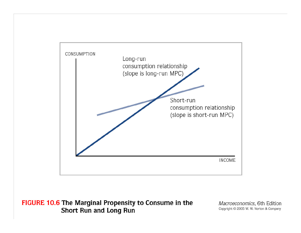

FIGURE 10.6 The Marginal Propensity to Consume in the Short Run and Long Run

Macroeconomics, 6th Edition Copyright © 2005 W. W. Norton & Company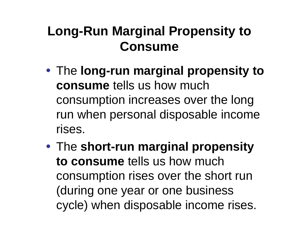### **Long-Run Marginal Propensity to Consume**

- The **long-run marginal propensity to consume** tells us how much consumption increases over the long run when personal disposable income rises.
- The **short-run marginal propensity to consume** tells us how much consumption rises over the short run (during one year or one business cycle) when disposable income rises.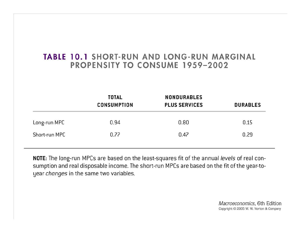#### **TABLE 10.1 SHORT-RUN AND LONG-RUN MARGINAL PROPENSITY TO CONSUME 1959-2002**

|               | <b>TOTAL</b><br><b>CONSUMPTION</b> | <b>NONDURABLES</b><br><b>PLUS SERVICES</b> | <b>DURABLES</b> |
|---------------|------------------------------------|--------------------------------------------|-----------------|
| Long-run MPC  | 0.94                               | 0.80                                       | 0.15            |
| Short-run MPC | 0.77                               | 0.47                                       | 0.29            |

NOTE: The long-run MPCs are based on the least-squares fit of the annual levels of real consumption and real disposable income. The short-run MPCs are based on the fit of the year-toyear changes in the same two variables.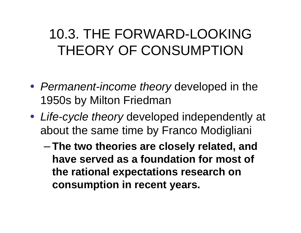## 10.3. THE FORWARD-LOOKING THEORY OF CONSUMPTION

- *Permanent-income theory* developed in the 1950s by Milton Friedman
- *Life-cycle theory* developed independently at about the same time by Franco Modigliani
	- – **The two theories are closely related, and have served as a foundation for most of the rational expectations research on consumption in recent years.**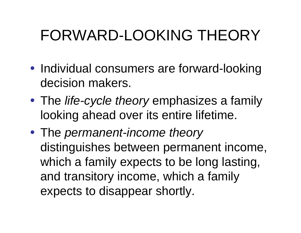## FORWARD-LOOKING THEORY

- Individual consumers are forward-looking decision makers.
- The *life-cycle theory* emphasizes a family looking ahead over its entire lifetime.
- The *permanent-income theory* distinguishes between permanent income, which a family expects to be long lasting, and transitory income, which a family expects to disappear shortly.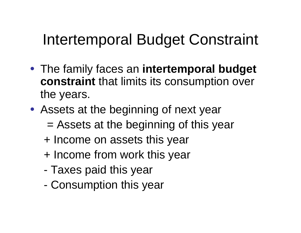## Intertemporal Budget Constraint

- The family faces an **intertemporal budget constraint** that limits its consumption over the years.
- Assets at the beginning of next year
	- = Assets at the beginning of this year
	- + Income on assets this year
	- + Income from work this year
	- -Taxes paid this year
	- -Consumption this year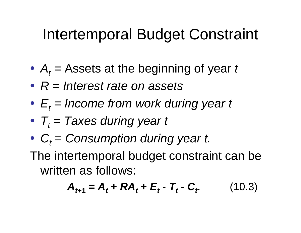## Intertemporal Budget Constraint

- $\bullet$  $\bullet$   $A_t =$ Assets at the beginning of year *t*
- *R = Interest rate on assets*
- • $\bullet$   $E_t$  = Income from work during year t
- $\bullet$  $\bullet$   $\mathcal{T}_t$   $=$  Taxes during year t
- •*C t = Consumption during year t.*
- The intertemporal budget constraint can be written as follows:

$$
\mathbf{A}_{t+1} = \mathbf{A}_t + \mathbf{R}\mathbf{A}_t + \mathbf{E}_t - \mathbf{T}_t - \mathbf{C}_t \qquad (10.3)
$$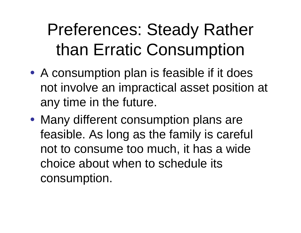# Preferences: Steady Rather than Erratic Consumption

- A consumption plan is feasible if it does not involve an impractical asset position at any time in the future.
- Many different consumption plans are feasible. As long as the family is careful not to consume too much, it has a wide choice about when to schedule its consumption.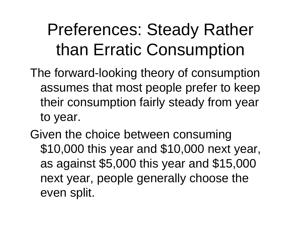# Preferences: Steady Rather than Erratic Consumption

- The forward-looking theory of consumption assumes that most people prefer to keep their consumption fairly steady from year to year.
- Given the choice between consuming \$10,000 this year and \$10,000 next year, as against \$5,000 this year and \$15,000 next year, people generally choose the even split.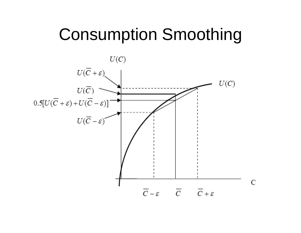## Consumption Smoothing

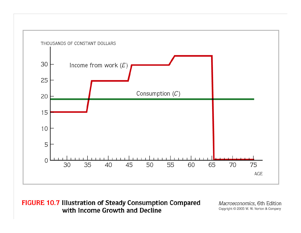

FIGURE 10.7 Illustration of Steady Consumption Compared with Income Growth and Decline

Macroeconomics, 6th Edition Copyright © 2005 W. W. Norton & Company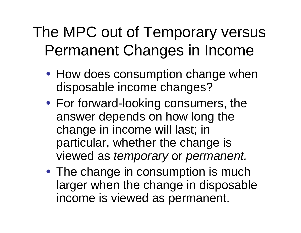## The MPC out of Temporary versus Permanent Changes in Income

- How does consumption change when disposable income changes?
- For forward-looking consumers, the answer depends on how long the change in income will last; in particular, whether the change is viewed as *temporary* or *permanent.*
- The change in consumption is much larger when the change in disposable income is viewed as permanent.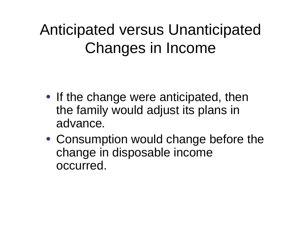## Anticipated versus Unanticipated Changes in Income

- If the change were anticipated, then the family would adjust its plans in advance*.*
- Consumption would change before the change in disposable income occurred.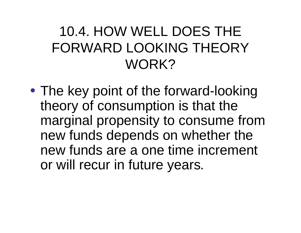## 10.4. HOW WELL DOES THE FORWARD LOOKING THEORY WORK?

• The key point of the forward-looking theory of consumption is that the marginal propensity to consume from new funds depends on whether the new funds are a one time increment or will recur in future years *.*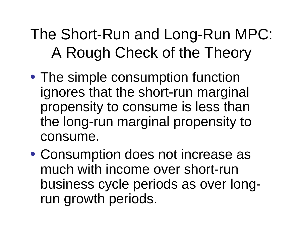## The Short-Run and Long-Run MPC: A Rough Check of the Theory

- The simple consumption function ignores that the short-run marginal propensity to consume is less than the long-run marginal propensity to consume.
- Consumption does not increase as much with income over short-run business cycle periods as over longrun growth periods.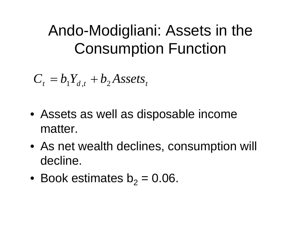## Ando-Modigliani: Assets in the Consumption Function

$$
C_t = b_1 Y_{d,t} + b_2 \text{Assets}_t
$$

- Assets as well as disposable income matter.
- As net wealth declines, consumption will decline.
- $\bullet\,$  Book estimates b $_{2}$  = 0.06.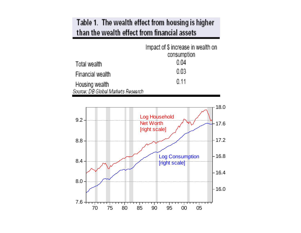#### Table 1. The wealth effect from housing is higher than the wealth effect from financial assets

|                                    | Impact of \$ increase in wealth on<br>consumption |
|------------------------------------|---------------------------------------------------|
| Total wealth                       | 0.04                                              |
| Financial wealth                   | $0.03\,$                                          |
| Housing wealth                     | 0.11                                              |
| Source: DB Global Markets Research |                                                   |

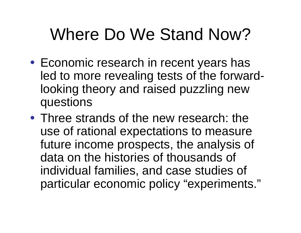# Where Do We Stand Now?

- Economic research in recent years has led to more revealing tests of the forwardlooking theory and raised puzzling new questions
- Three strands of the new research: the use of rational expectations to measure future income prospects, the analysis of data on the histories of thousands of individual families, and case studies of particular economic policy "experiments."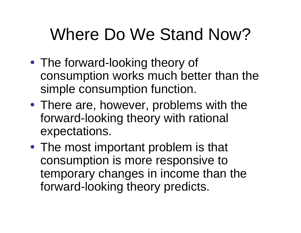# Where Do We Stand Now?

- The forward-looking theory of consumption works much better than the simple consumption function.
- There are, however, problems with the forward-looking theory with rational expectations.
- The most important problem is that consumption is more responsive to temporary changes in income than the forward-looking theory predicts.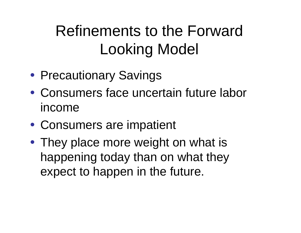## Refinements to the Forward Looking Model

- Precautionary Savings
- Consumers face uncertain future labor income
- Consumers are impatient
- They place more weight on what is happening today than on what they expect to happen in the future.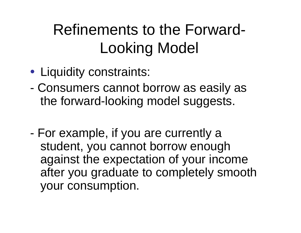## Refinements to the Forward-Looking Model

- Liquidity constraints:
- - Consumers cannot borrow as easily as the forward-looking model suggests.
- - For example, if you are currently a student, you cannot borrow enough against the expectation of your income after you graduate to completely smooth your consumption.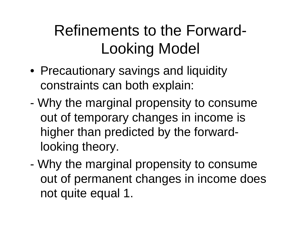## Refinements to the Forward-Looking Model

- Precautionary savings and liquidity constraints can both explain:
- - Why the marginal propensity to consume out of temporary changes in income is higher than predicted by the forwardlooking theory.
- - Why the marginal propensity to consume out of permanent changes in income does not quite equal 1.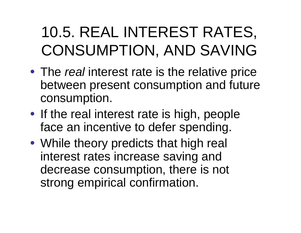## 10.5. REAL INTEREST RATES, CONSUMPTION, AND SAVING

- The *real* interest rate is the relative price between present consumption and future consumption.
- If the real interest rate is high, people face an incentive to defer spending.
- While theory predicts that high real interest rates increase saving and decrease consumption, there is not strong empirical confirmation.